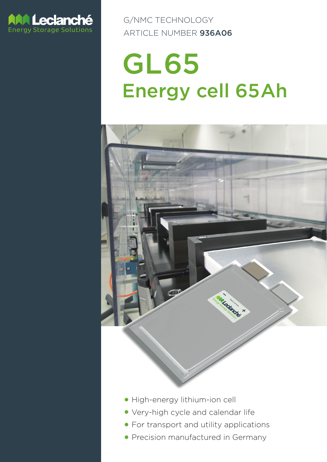

G/NMC TECHNOLOGY ARTICLE NUMBER 936A06

# GL65 Energy cell 65Ah



- High-energy lithium-ion cell
- **Very-high cycle and calendar life**
- **For transport and utility applications**
- Precision manufactured in Germany